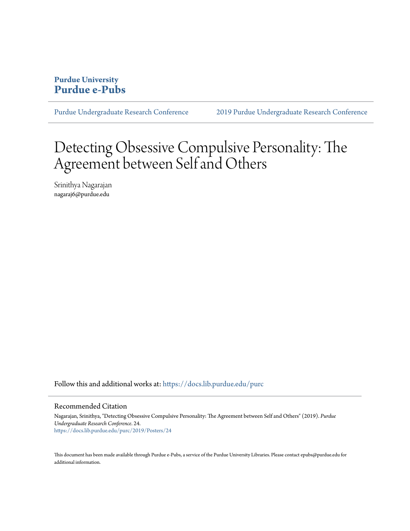## **Purdue University [Purdue e-Pubs](https://docs.lib.purdue.edu?utm_source=docs.lib.purdue.edu%2Fpurc%2F2019%2FPosters%2F24&utm_medium=PDF&utm_campaign=PDFCoverPages)**

[Purdue Undergraduate Research Conference](https://docs.lib.purdue.edu/purc?utm_source=docs.lib.purdue.edu%2Fpurc%2F2019%2FPosters%2F24&utm_medium=PDF&utm_campaign=PDFCoverPages) [2019 Purdue Undergraduate Research Conference](https://docs.lib.purdue.edu/purc/2019?utm_source=docs.lib.purdue.edu%2Fpurc%2F2019%2FPosters%2F24&utm_medium=PDF&utm_campaign=PDFCoverPages)

## Detecting Obsessive Compulsive Personality: The Agreement between Self and Others

Srinithya Nagarajan nagaraj6@purdue.edu

Follow this and additional works at: [https://docs.lib.purdue.edu/purc](https://docs.lib.purdue.edu/purc?utm_source=docs.lib.purdue.edu%2Fpurc%2F2019%2FPosters%2F24&utm_medium=PDF&utm_campaign=PDFCoverPages)

## Recommended Citation

Nagarajan, Srinithya, "Detecting Obsessive Compulsive Personality: The Agreement between Self and Others" (2019). *Purdue Undergraduate Research Conference*. 24. [https://docs.lib.purdue.edu/purc/2019/Posters/24](https://docs.lib.purdue.edu/purc/2019/Posters/24?utm_source=docs.lib.purdue.edu%2Fpurc%2F2019%2FPosters%2F24&utm_medium=PDF&utm_campaign=PDFCoverPages)

This document has been made available through Purdue e-Pubs, a service of the Purdue University Libraries. Please contact epubs@purdue.edu for additional information.